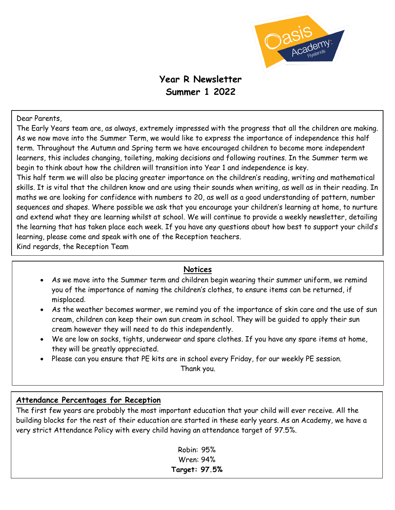

# **Year R Newsletter Summer 1 2022**

#### Dear Parents,

The Early Years team are, as always, extremely impressed with the progress that all the children are making. As we now move into the Summer Term, we would like to express the importance of independence this half term. Throughout the Autumn and Spring term we have encouraged children to become more independent learners, this includes changing, toileting, making decisions and following routines. In the Summer term we begin to think about how the children will transition into Year 1 and independence is key.

This half term we will also be placing greater importance on the children's reading, writing and mathematical skills. It is vital that the children know and are using their sounds when writing, as well as in their reading. In maths we are looking for confidence with numbers to 20, as well as a good understanding of pattern, number sequences and shapes. Where possible we ask that you encourage your children's learning at home, to nurture and extend what they are learning whilst at school. We will continue to provide a weekly newsletter, detailing the learning that has taken place each week. If you have any questions about how best to support your child's learning, please come and speak with one of the Reception teachers.

Kind regards, the Reception Team

#### **Notices**

- As we move into the Summer term and children begin wearing their summer uniform, we remind you of the importance of naming the children's clothes, to ensure items can be returned, if misplaced.
- As the weather becomes warmer, we remind you of the importance of skin care and the use of sun cream, children can keep their own sun cream in school. They will be guided to apply their sun cream however they will need to do this independently.
- We are low on socks, tights, underwear and spare clothes. If you have any spare items at home, they will be greatly appreciated.
- Please can you ensure that PE kits are in school every Friday, for our weekly PE session.

Thank you.

#### **Attendance Percentages for Reception**

The first few years are probably the most important education that your child will ever receive. All the building blocks for the rest of their education are started in these early years. As an Academy, we have a very strict Attendance Policy with every child having an attendance target of 97.5%.

> Robin: 95% Wren: 94% **Target: 97.5%**